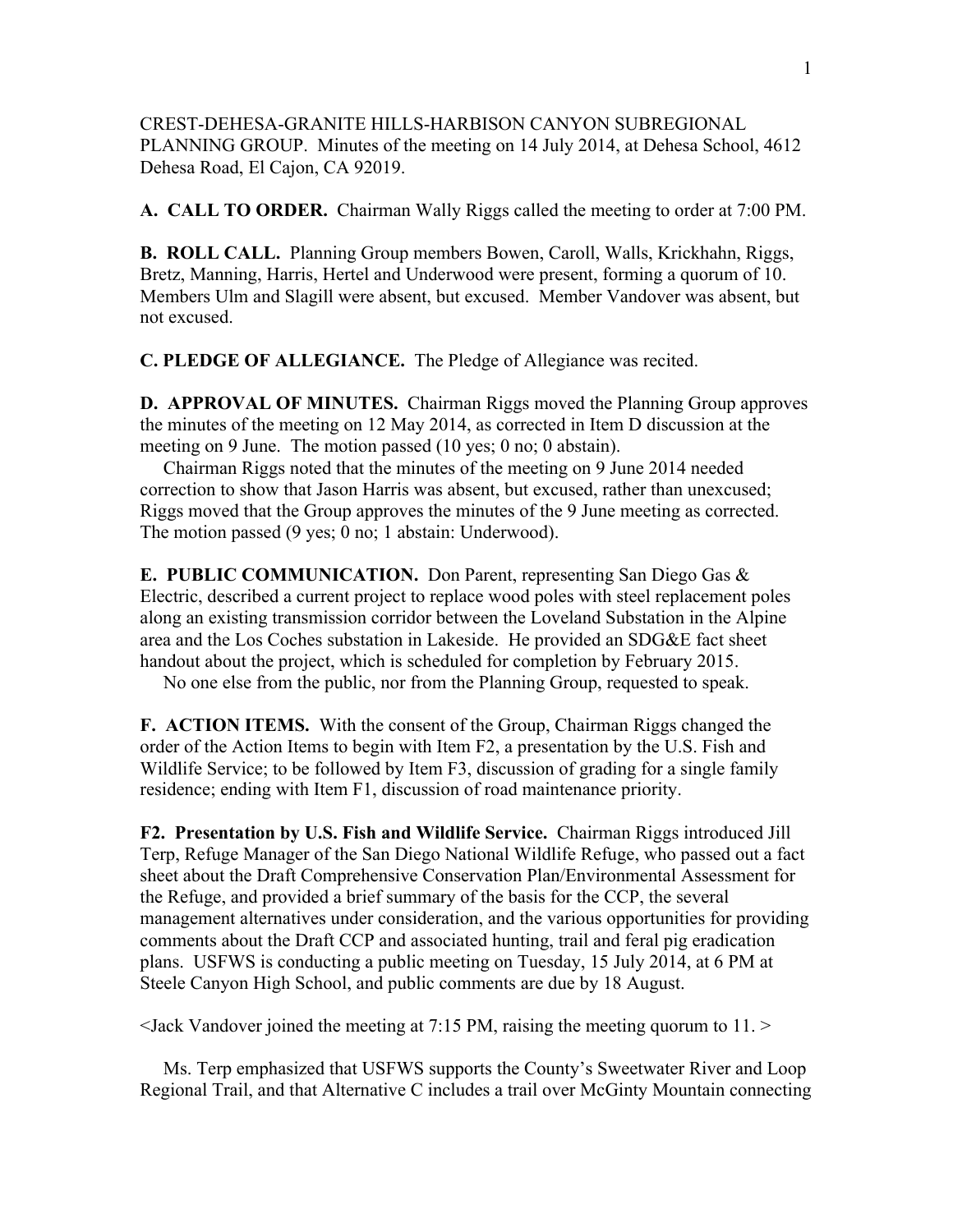CREST-DEHESA-GRANITE HILLS-HARBISON CANYON SUBREGIONAL PLANNING GROUP. Minutes of the meeting on 14 July 2014, at Dehesa School, 4612 Dehesa Road, El Cajon, CA 92019.

**A. CALL TO ORDER.** Chairman Wally Riggs called the meeting to order at 7:00 PM.

**B. ROLL CALL.** Planning Group members Bowen, Caroll, Walls, Krickhahn, Riggs, Bretz, Manning, Harris, Hertel and Underwood were present, forming a quorum of 10. Members Ulm and Slagill were absent, but excused. Member Vandover was absent, but not excused.

**C. PLEDGE OF ALLEGIANCE.** The Pledge of Allegiance was recited.

**D. APPROVAL OF MINUTES.** Chairman Riggs moved the Planning Group approves the minutes of the meeting on 12 May 2014, as corrected in Item D discussion at the meeting on 9 June. The motion passed (10 yes; 0 no; 0 abstain).

 Chairman Riggs noted that the minutes of the meeting on 9 June 2014 needed correction to show that Jason Harris was absent, but excused, rather than unexcused; Riggs moved that the Group approves the minutes of the 9 June meeting as corrected. The motion passed (9 yes; 0 no; 1 abstain: Underwood).

**E. PUBLIC COMMUNICATION.** Don Parent, representing San Diego Gas & Electric, described a current project to replace wood poles with steel replacement poles along an existing transmission corridor between the Loveland Substation in the Alpine area and the Los Coches substation in Lakeside. He provided an SDG&E fact sheet handout about the project, which is scheduled for completion by February 2015.

No one else from the public, nor from the Planning Group, requested to speak.

**F. ACTION ITEMS.** With the consent of the Group, Chairman Riggs changed the order of the Action Items to begin with Item F2, a presentation by the U.S. Fish and Wildlife Service; to be followed by Item F3, discussion of grading for a single family residence; ending with Item F1, discussion of road maintenance priority.

**F2. Presentation by U.S. Fish and Wildlife Service.** Chairman Riggs introduced Jill Terp, Refuge Manager of the San Diego National Wildlife Refuge, who passed out a fact sheet about the Draft Comprehensive Conservation Plan/Environmental Assessment for the Refuge, and provided a brief summary of the basis for the CCP, the several management alternatives under consideration, and the various opportunities for providing comments about the Draft CCP and associated hunting, trail and feral pig eradication plans. USFWS is conducting a public meeting on Tuesday, 15 July 2014, at 6 PM at Steele Canyon High School, and public comments are due by 18 August.

<Jack Vandover joined the meeting at 7:15 PM, raising the meeting quorum to 11. >

 Ms. Terp emphasized that USFWS supports the County's Sweetwater River and Loop Regional Trail, and that Alternative C includes a trail over McGinty Mountain connecting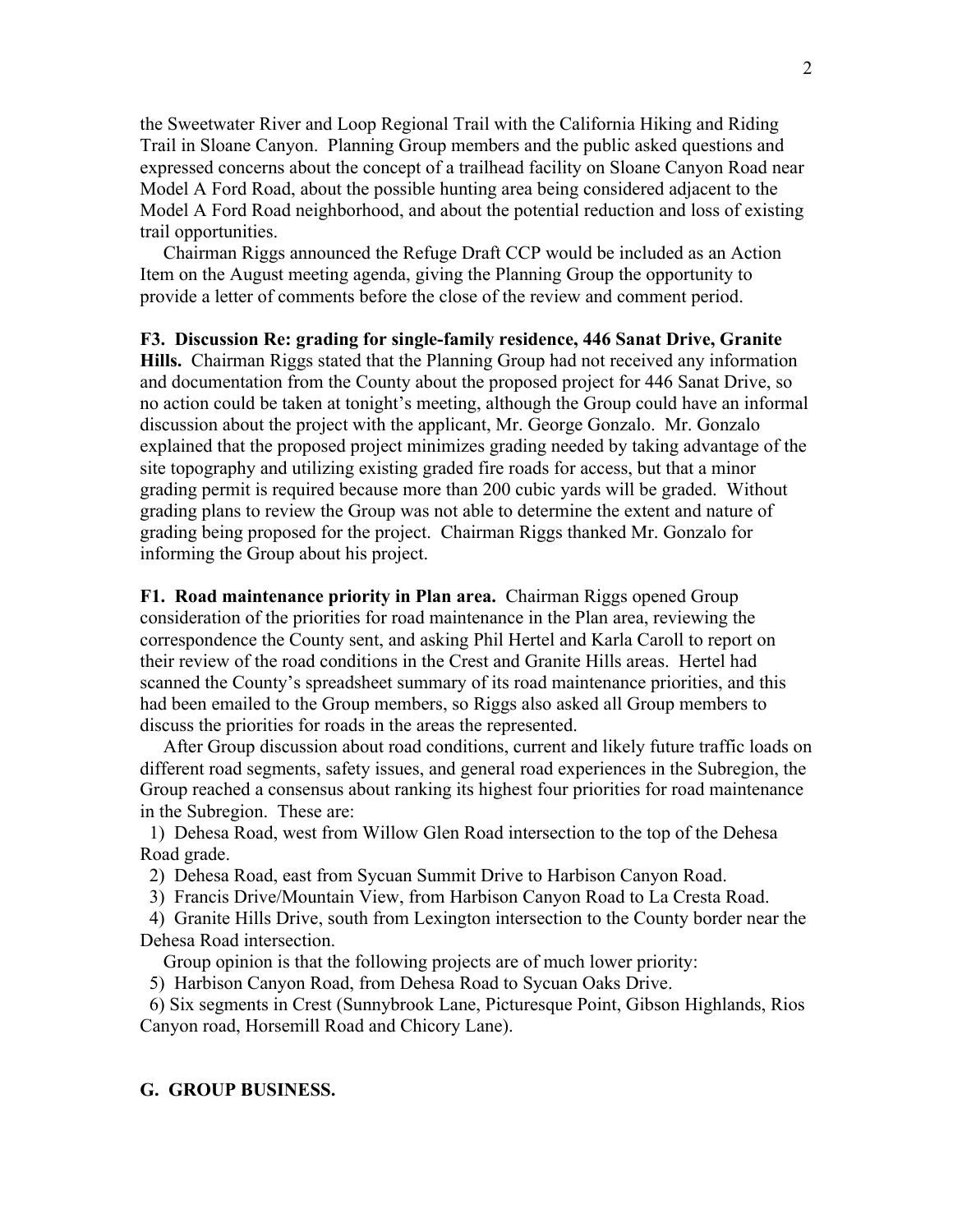the Sweetwater River and Loop Regional Trail with the California Hiking and Riding Trail in Sloane Canyon. Planning Group members and the public asked questions and expressed concerns about the concept of a trailhead facility on Sloane Canyon Road near Model A Ford Road, about the possible hunting area being considered adjacent to the Model A Ford Road neighborhood, and about the potential reduction and loss of existing trail opportunities.

 Chairman Riggs announced the Refuge Draft CCP would be included as an Action Item on the August meeting agenda, giving the Planning Group the opportunity to provide a letter of comments before the close of the review and comment period.

**F3. Discussion Re: grading for single-family residence, 446 Sanat Drive, Granite Hills.** Chairman Riggs stated that the Planning Group had not received any information and documentation from the County about the proposed project for 446 Sanat Drive, so no action could be taken at tonight's meeting, although the Group could have an informal discussion about the project with the applicant, Mr. George Gonzalo. Mr. Gonzalo explained that the proposed project minimizes grading needed by taking advantage of the site topography and utilizing existing graded fire roads for access, but that a minor grading permit is required because more than 200 cubic yards will be graded. Without grading plans to review the Group was not able to determine the extent and nature of grading being proposed for the project. Chairman Riggs thanked Mr. Gonzalo for informing the Group about his project.

**F1. Road maintenance priority in Plan area.** Chairman Riggs opened Group consideration of the priorities for road maintenance in the Plan area, reviewing the correspondence the County sent, and asking Phil Hertel and Karla Caroll to report on their review of the road conditions in the Crest and Granite Hills areas. Hertel had scanned the County's spreadsheet summary of its road maintenance priorities, and this had been emailed to the Group members, so Riggs also asked all Group members to discuss the priorities for roads in the areas the represented.

 After Group discussion about road conditions, current and likely future traffic loads on different road segments, safety issues, and general road experiences in the Subregion, the Group reached a consensus about ranking its highest four priorities for road maintenance in the Subregion. These are:

 1) Dehesa Road, west from Willow Glen Road intersection to the top of the Dehesa Road grade.

2) Dehesa Road, east from Sycuan Summit Drive to Harbison Canyon Road.

3) Francis Drive/Mountain View, from Harbison Canyon Road to La Cresta Road.

 4) Granite Hills Drive, south from Lexington intersection to the County border near the Dehesa Road intersection.

Group opinion is that the following projects are of much lower priority:

5) Harbison Canyon Road, from Dehesa Road to Sycuan Oaks Drive.

 6) Six segments in Crest (Sunnybrook Lane, Picturesque Point, Gibson Highlands, Rios Canyon road, Horsemill Road and Chicory Lane).

## **G. GROUP BUSINESS.**